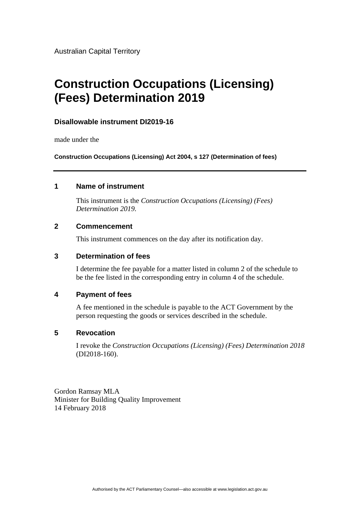Australian Capital Territory

# **Construction Occupations (Licensing) (Fees) Determination 2019**

## **Disallowable instrument DI2019-16**

made under the

**Construction Occupations (Licensing) Act 2004, s 127 (Determination of fees)**

## **1 Name of instrument**

This instrument is the *Construction Occupations (Licensing) (Fees) Determination 2019.*

## **2 Commencement**

This instrument commences on the day after its notification day.

## **3 Determination of fees**

I determine the fee payable for a matter listed in column 2 of the schedule to be the fee listed in the corresponding entry in column 4 of the schedule.

## **4 Payment of fees**

A fee mentioned in the schedule is payable to the ACT Government by the person requesting the goods or services described in the schedule.

## **5 Revocation**

I revoke the *Construction Occupations (Licensing) (Fees) Determination 2018* (DI2018-160).

Gordon Ramsay MLA Minister for Building Quality Improvement 14 February 2018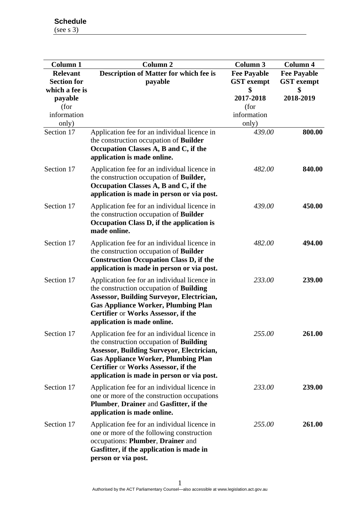| <b>Column 1</b>                                         | Column <sub>2</sub>                                                                                                                                                                                                                                                                   | Column 3                                      | Column 4                                      |
|---------------------------------------------------------|---------------------------------------------------------------------------------------------------------------------------------------------------------------------------------------------------------------------------------------------------------------------------------------|-----------------------------------------------|-----------------------------------------------|
| <b>Relevant</b><br><b>Section for</b><br>which a fee is | Description of Matter for which fee is<br>payable                                                                                                                                                                                                                                     | <b>Fee Payable</b><br><b>GST</b> exempt<br>\$ | <b>Fee Payable</b><br><b>GST</b> exempt<br>\$ |
| payable                                                 |                                                                                                                                                                                                                                                                                       | 2017-2018                                     | 2018-2019                                     |
| (for<br>information<br>only)                            |                                                                                                                                                                                                                                                                                       | (for<br>information<br>only)                  |                                               |
| Section 17                                              | Application fee for an individual licence in<br>the construction occupation of <b>Builder</b><br>Occupation Classes A, B and C, if the<br>application is made online.                                                                                                                 | 439.00                                        | 800.00                                        |
| Section 17                                              | Application fee for an individual licence in<br>the construction occupation of Builder,<br>Occupation Classes A, B and C, if the<br>application is made in person or via post.                                                                                                        | 482.00                                        | 840.00                                        |
| Section 17                                              | Application fee for an individual licence in<br>the construction occupation of <b>Builder</b><br>Occupation Class D, if the application is<br>made online.                                                                                                                            | 439.00                                        | 450.00                                        |
| Section 17                                              | Application fee for an individual licence in<br>the construction occupation of Builder<br><b>Construction Occupation Class D, if the</b><br>application is made in person or via post.                                                                                                | 482.00                                        | 494.00                                        |
| Section 17                                              | Application fee for an individual licence in<br>the construction occupation of <b>Building</b><br>Assessor, Building Surveyor, Electrician,<br><b>Gas Appliance Worker, Plumbing Plan</b><br>Certifier or Works Assessor, if the<br>application is made online.                       | 233.00                                        | 239.00                                        |
| Section 17                                              | Application fee for an individual licence in<br>the construction occupation of <b>Building</b><br><b>Assessor, Building Surveyor, Electrician,</b><br><b>Gas Appliance Worker, Plumbing Plan</b><br>Certifier or Works Assessor, if the<br>application is made in person or via post. | 255.00                                        | 261.00                                        |
| Section 17                                              | Application fee for an individual licence in<br>one or more of the construction occupations<br>Plumber, Drainer and Gasfitter, if the<br>application is made online.                                                                                                                  | 233.00                                        | 239.00                                        |
| Section 17                                              | Application fee for an individual licence in<br>one or more of the following construction<br>occupations: Plumber, Drainer and<br>Gasfitter, if the application is made in<br>person or via post.                                                                                     | 255.00                                        | 261.00                                        |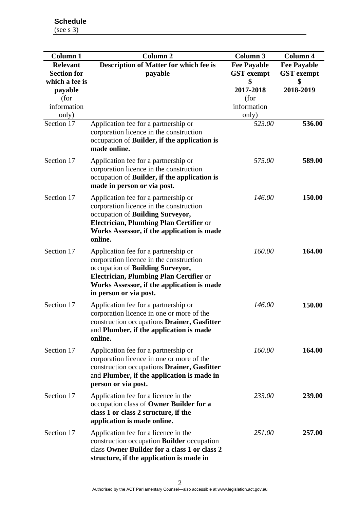| <b>Column 1</b><br><b>Relevant</b><br><b>Section for</b><br>which a fee is<br>payable<br>(for<br>information | <b>Column 2</b><br>Description of Matter for which fee is<br>payable                                                                                                                                                                   | <b>Column 3</b><br><b>Fee Payable</b><br><b>GST</b> exempt<br>\$<br>2017-2018<br>(for<br>information | Column 4<br><b>Fee Payable</b><br><b>GST</b> exempt<br>\$<br>2018-2019 |
|--------------------------------------------------------------------------------------------------------------|----------------------------------------------------------------------------------------------------------------------------------------------------------------------------------------------------------------------------------------|------------------------------------------------------------------------------------------------------|------------------------------------------------------------------------|
| only)                                                                                                        |                                                                                                                                                                                                                                        | only)                                                                                                |                                                                        |
| Section 17                                                                                                   | Application fee for a partnership or<br>corporation licence in the construction<br>occupation of Builder, if the application is<br>made online.                                                                                        | 523.00                                                                                               | 536.00                                                                 |
| Section 17                                                                                                   | Application fee for a partnership or<br>corporation licence in the construction<br>occupation of Builder, if the application is<br>made in person or via post.                                                                         | 575.00                                                                                               | 589.00                                                                 |
| Section 17                                                                                                   | Application fee for a partnership or<br>corporation licence in the construction<br>occupation of Building Surveyor,<br>Electrician, Plumbing Plan Certifier or<br>Works Assessor, if the application is made<br>online.                | 146.00                                                                                               | 150.00                                                                 |
| Section 17                                                                                                   | Application fee for a partnership or<br>corporation licence in the construction<br>occupation of Building Surveyor,<br>Electrician, Plumbing Plan Certifier or<br>Works Assessor, if the application is made<br>in person or via post. | 160.00                                                                                               | 164.00                                                                 |
| Section 17                                                                                                   | Application fee for a partnership or<br>corporation licence in one or more of the<br>construction occupations Drainer, Gasfitter<br>and <b>Plumber</b> , if the application is made<br>online.                                         | 146.00                                                                                               | 150.00                                                                 |
| Section 17                                                                                                   | Application fee for a partnership or<br>corporation licence in one or more of the<br>construction occupations Drainer, Gasfitter<br>and Plumber, if the application is made in<br>person or via post.                                  | 160.00                                                                                               | 164.00                                                                 |
| Section 17                                                                                                   | Application fee for a licence in the<br>occupation class of Owner Builder for a<br>class 1 or class 2 structure, if the<br>application is made online.                                                                                 | 233.00                                                                                               | 239.00                                                                 |
| Section 17                                                                                                   | Application fee for a licence in the<br>construction occupation <b>Builder</b> occupation<br>class Owner Builder for a class 1 or class 2<br>structure, if the application is made in                                                  | 251.00                                                                                               | 257.00                                                                 |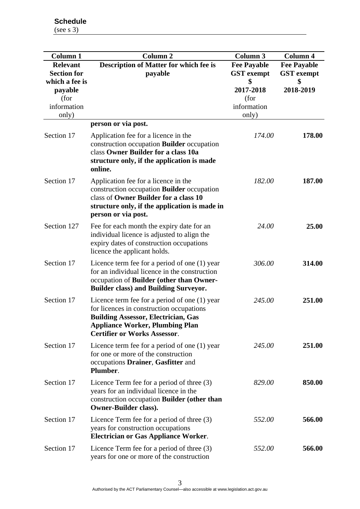| <b>Column 1</b><br><b>Relevant</b><br><b>Section for</b><br>which a fee is | Column <sub>2</sub><br><b>Description of Matter for which fee is</b><br>payable                                                                                                                                          | Column 3<br><b>Fee Payable</b><br><b>GST</b> exempt | Column 4<br><b>Fee Payable</b><br><b>GST</b> exempt<br>\$ |
|----------------------------------------------------------------------------|--------------------------------------------------------------------------------------------------------------------------------------------------------------------------------------------------------------------------|-----------------------------------------------------|-----------------------------------------------------------|
| payable<br>(for<br>information<br>only)                                    |                                                                                                                                                                                                                          | 2017-2018<br>(for<br>information<br>only)           | 2018-2019                                                 |
|                                                                            | person or via post.                                                                                                                                                                                                      |                                                     |                                                           |
| Section 17                                                                 | Application fee for a licence in the<br>construction occupation <b>Builder</b> occupation<br>class Owner Builder for a class 10a<br>structure only, if the application is made<br>online.                                | 174.00                                              | 178.00                                                    |
| Section 17                                                                 | Application fee for a licence in the<br>construction occupation Builder occupation<br>class of Owner Builder for a class 10<br>structure only, if the application is made in<br>person or via post.                      | 182.00                                              | 187.00                                                    |
| Section 127                                                                | Fee for each month the expiry date for an<br>individual licence is adjusted to align the<br>expiry dates of construction occupations<br>licence the applicant holds.                                                     | 24.00                                               | 25.00                                                     |
| Section 17                                                                 | Licence term fee for a period of one (1) year<br>for an individual licence in the construction<br>occupation of Builder (other than Owner-<br><b>Builder class) and Building Surveyor.</b>                               | 306.00                                              | 314.00                                                    |
| Section 17                                                                 | Licence term fee for a period of one (1) year<br>for licences in construction occupations<br><b>Building Assessor, Electrician, Gas</b><br><b>Appliance Worker, Plumbing Plan</b><br><b>Certifier or Works Assessor.</b> | 245.00                                              | 251.00                                                    |
| Section 17                                                                 | Licence term fee for a period of one (1) year<br>for one or more of the construction<br>occupations Drainer, Gasfitter and<br>Plumber.                                                                                   | 245.00                                              | 251.00                                                    |
| Section 17                                                                 | Licence Term fee for a period of three $(3)$<br>years for an individual licence in the<br>construction occupation Builder (other than<br><b>Owner-Builder class).</b>                                                    | 829.00                                              | 850.00                                                    |
| Section 17                                                                 | Licence Term fee for a period of three $(3)$<br>years for construction occupations<br><b>Electrician or Gas Appliance Worker.</b>                                                                                        | 552.00                                              | 566.00                                                    |
| Section 17                                                                 | Licence Term fee for a period of three $(3)$<br>years for one or more of the construction                                                                                                                                | 552.00                                              | 566.00                                                    |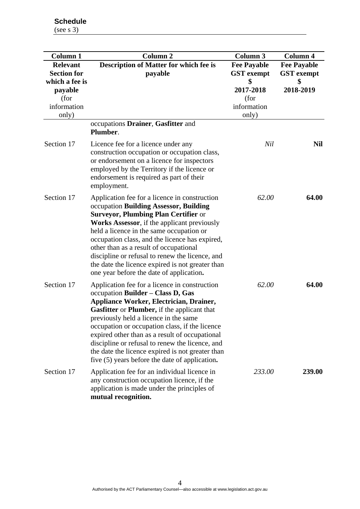| Column 1                                                                                           | <b>Column 2</b>                                                                                                                                                                                                                                                                                                                                                                                                                                                                           | Column 3                                                                             | Column 4                                                   |
|----------------------------------------------------------------------------------------------------|-------------------------------------------------------------------------------------------------------------------------------------------------------------------------------------------------------------------------------------------------------------------------------------------------------------------------------------------------------------------------------------------------------------------------------------------------------------------------------------------|--------------------------------------------------------------------------------------|------------------------------------------------------------|
| <b>Relevant</b><br><b>Section for</b><br>which a fee is<br>payable<br>(for<br>information<br>only) | <b>Description of Matter for which fee is</b><br>payable                                                                                                                                                                                                                                                                                                                                                                                                                                  | <b>Fee Payable</b><br><b>GST</b> exempt<br>2017-2018<br>(for<br>information<br>only) | <b>Fee Payable</b><br><b>GST</b> exempt<br>\$<br>2018-2019 |
|                                                                                                    | occupations Drainer, Gasfitter and<br>Plumber.                                                                                                                                                                                                                                                                                                                                                                                                                                            |                                                                                      |                                                            |
| Section 17                                                                                         | Licence fee for a licence under any<br>construction occupation or occupation class,<br>or endorsement on a licence for inspectors<br>employed by the Territory if the licence or<br>endorsement is required as part of their<br>employment.                                                                                                                                                                                                                                               | Nil                                                                                  | <b>Nil</b>                                                 |
| Section 17                                                                                         | Application fee for a licence in construction<br>occupation Building Assessor, Building<br><b>Surveyor, Plumbing Plan Certifier or</b><br><b>Works Assessor</b> , if the applicant previously<br>held a licence in the same occupation or<br>occupation class, and the licence has expired,<br>other than as a result of occupational<br>discipline or refusal to renew the licence, and<br>the date the licence expired is not greater than<br>one year before the date of application.  | 62.00                                                                                | 64.00                                                      |
| Section 17                                                                                         | Application fee for a licence in construction<br>occupation Builder - Class D, Gas<br><b>Appliance Worker, Electrician, Drainer,</b><br>Gasfitter or Plumber, if the applicant that<br>previously held a licence in the same<br>occupation or occupation class, if the licence<br>expired other than as a result of occupational<br>discipline or refusal to renew the licence, and<br>the date the licence expired is not greater than<br>five (5) years before the date of application. | 62.00                                                                                | 64.00                                                      |
| Section 17                                                                                         | Application fee for an individual licence in<br>any construction occupation licence, if the<br>application is made under the principles of<br>mutual recognition.                                                                                                                                                                                                                                                                                                                         | 233.00                                                                               | 239.00                                                     |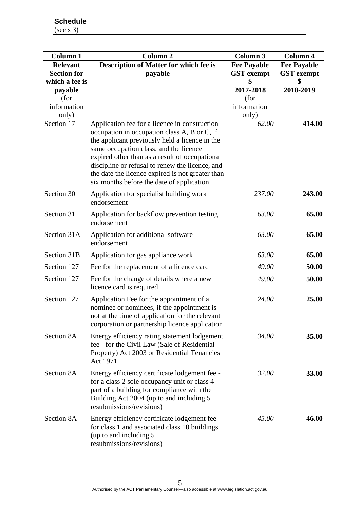| <b>Column 1</b>                                         | <b>Column 2</b>                                                                                                                                                                                                                                                                                                                                                                                  | Column 3                                | Column 4                                |
|---------------------------------------------------------|--------------------------------------------------------------------------------------------------------------------------------------------------------------------------------------------------------------------------------------------------------------------------------------------------------------------------------------------------------------------------------------------------|-----------------------------------------|-----------------------------------------|
| <b>Relevant</b><br><b>Section for</b><br>which a fee is | <b>Description of Matter for which fee is</b><br>payable                                                                                                                                                                                                                                                                                                                                         | <b>Fee Payable</b><br><b>GST</b> exempt | <b>Fee Payable</b><br><b>GST</b> exempt |
| payable                                                 |                                                                                                                                                                                                                                                                                                                                                                                                  | 2017-2018                               | 2018-2019                               |
| (for<br>information                                     |                                                                                                                                                                                                                                                                                                                                                                                                  | (for<br>information                     |                                         |
| only)                                                   |                                                                                                                                                                                                                                                                                                                                                                                                  | only)                                   |                                         |
| Section 17                                              | Application fee for a licence in construction<br>occupation in occupation class A, B or C, if<br>the applicant previously held a licence in the<br>same occupation class, and the licence<br>expired other than as a result of occupational<br>discipline or refusal to renew the licence, and<br>the date the licence expired is not greater than<br>six months before the date of application. | 62.00                                   | 414.00                                  |
| Section 30                                              | Application for specialist building work<br>endorsement                                                                                                                                                                                                                                                                                                                                          | 237.00                                  | 243.00                                  |
| Section 31                                              | Application for backflow prevention testing<br>endorsement                                                                                                                                                                                                                                                                                                                                       | 63.00                                   | 65.00                                   |
| Section 31A                                             | Application for additional software<br>endorsement                                                                                                                                                                                                                                                                                                                                               | 63.00                                   | 65.00                                   |
| Section 31B                                             | Application for gas appliance work                                                                                                                                                                                                                                                                                                                                                               | 63.00                                   | 65.00                                   |
| Section 127                                             | Fee for the replacement of a licence card                                                                                                                                                                                                                                                                                                                                                        | 49.00                                   | 50.00                                   |
| Section 127                                             | Fee for the change of details where a new<br>licence card is required                                                                                                                                                                                                                                                                                                                            | 49.00                                   | 50.00                                   |
| Section 127                                             | Application Fee for the appointment of a<br>nominee or nominees, if the appointment is<br>not at the time of application for the relevant<br>corporation or partnership licence application                                                                                                                                                                                                      | 24.00                                   | 25.00                                   |
| Section 8A                                              | Energy efficiency rating statement lodgement<br>fee - for the Civil Law (Sale of Residential<br>Property) Act 2003 or Residential Tenancies<br>Act 1971                                                                                                                                                                                                                                          | 34.00                                   | 35.00                                   |
| Section 8A                                              | Energy efficiency certificate lodgement fee -<br>for a class 2 sole occupancy unit or class 4<br>part of a building for compliance with the<br>Building Act 2004 (up to and including 5<br>resubmissions/revisions)                                                                                                                                                                              | 32.00                                   | 33.00                                   |
| Section 8A                                              | Energy efficiency certificate lodgement fee -<br>for class 1 and associated class 10 buildings<br>(up to and including 5<br>resubmissions/revisions)                                                                                                                                                                                                                                             | 45.00                                   | 46.00                                   |